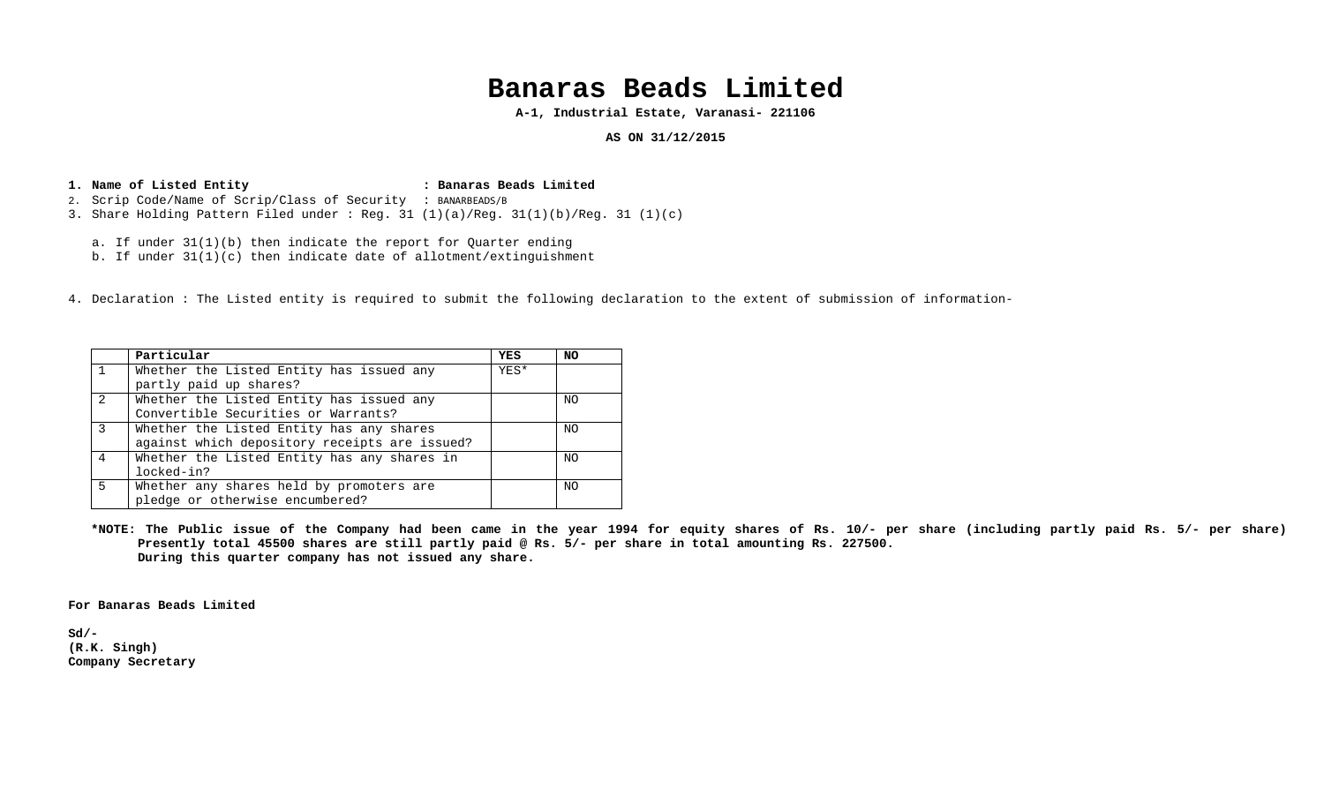## **Banaras Beads Limited**

**A-1, Industrial Estate, Varanasi- 221106** 

### **AS ON 31/12/2015**

## **1.Name of Listed Entity : Banaras Beads Limited**  2. Scrip Code/Name of Scrip/Class of Security : BANARBEADS/B

- 3. Share Holding Pattern Filed under : Reg. 31 (1)(a)/Reg. 31(1)(b)/Reg. 31 (1)(c)
	- a. If under 31(1)(b) then indicate the report for Quarter ending
	- b. If under 31(1)(c) then indicate date of allotment/extinguishment
- 4. Declaration : The Listed entity is required to submit the following declaration to the extent of submission of information-

|               | Particular                                    | <b>YES</b> | <b>NO</b> |
|---------------|-----------------------------------------------|------------|-----------|
|               | Whether the Listed Entity has issued any      | YES*       |           |
|               | partly paid up shares?                        |            |           |
| $\mathcal{L}$ | Whether the Listed Entity has issued any      |            | NO        |
|               | Convertible Securities or Warrants?           |            |           |
| 3             | Whether the Listed Entity has any shares      |            | NO.       |
|               | against which depository receipts are issued? |            |           |
| 4             | Whether the Listed Entity has any shares in   |            | NO.       |
|               | locked-in?                                    |            |           |
| 5             | Whether any shares held by promoters are      |            | NO        |
|               | pledge or otherwise encumbered?               |            |           |

**\*NOTE: The Public issue of the Company had been came in the year 1994 for equity shares of Rs. 10/- per share (including partly paid Rs. 5/- per share) Presently total 45500 shares are still partly paid @ Rs. 5/- per share in total amounting Rs. 227500. During this quarter company has not issued any share.** 

**For Banaras Beads Limited** 

**Sd/- (R.K. Singh) Company Secretary**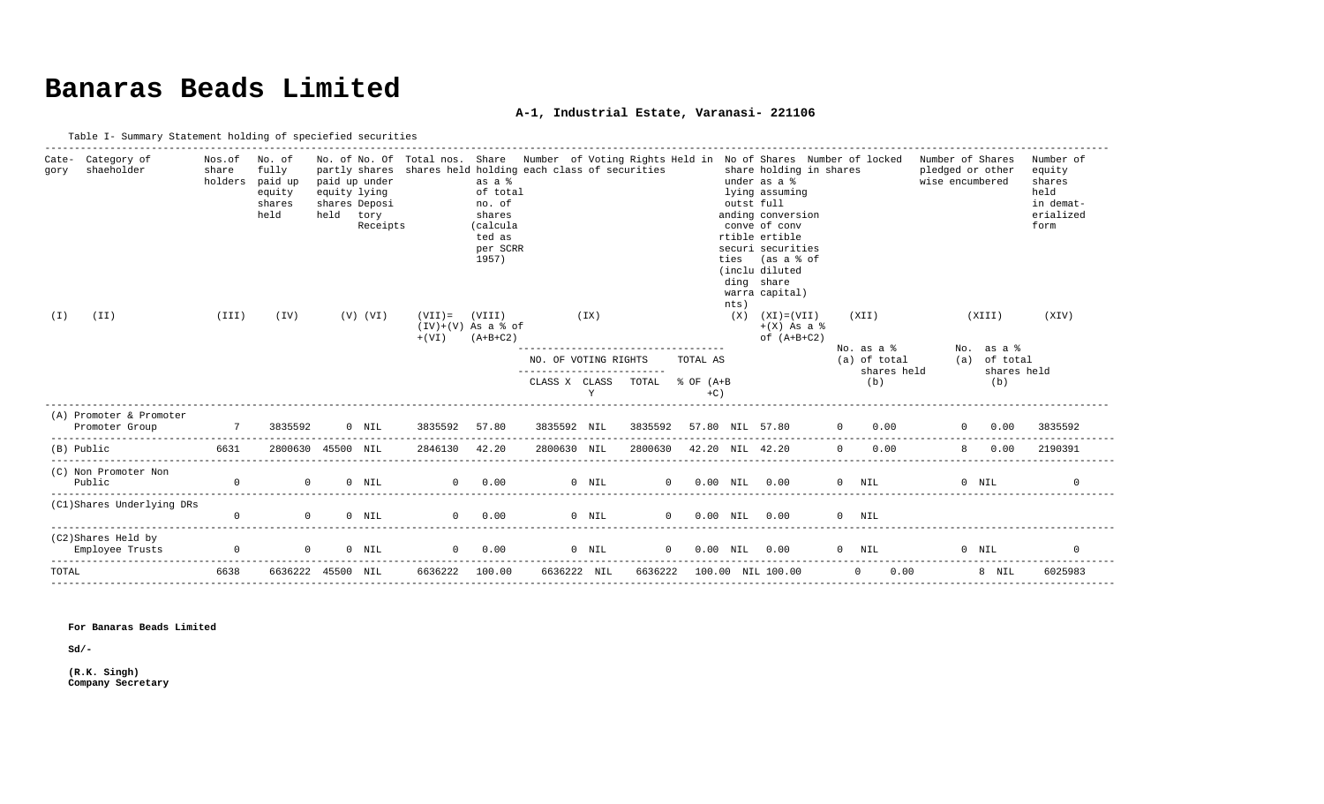# **Banaras Beads Limited**

### **A-1, Industrial Estate, Varanasi- 221106**

| Table I- Summary Statement holding of speciefied securities |  |
|-------------------------------------------------------------|--|
|                                                             |  |

| Cate-<br>gory<br>(T) | Category of<br>shaeholder<br>(II)                                                | Nos.of<br>share<br>holders<br>(III) | No. of<br>fully<br>paid up<br>equity<br>shares<br>held<br>(TV) | paid up under<br>equity lying<br>held | shares Deposi<br>tory<br>Receipts<br>$(V)$ $(VI)$ | partly shares shares held holding each class of securities<br>$(VII) =$<br>$+$ (VI) | as a %<br>of total<br>no. of<br>shares<br>(calcula<br>ted as<br>per SCRR<br>1957)<br>(VIII)<br>$(IV)+(V)$ As a $% of$<br>$(A+B+C2)$ |                      | (IX)        |          |                                  | nts) | No. of No. Of Total nos. Share Number of Voting Rights Held in No of Shares Number of locked<br>share holding in shares<br>under as a %<br>lying assuming<br>outst full<br>anding conversion<br>conve of conv<br>rtible ertible<br>securi securities<br>ties (as a % of<br>(inclu diluted<br>ding share<br>warra capital)<br>$(X)$ $(XI) = (VII)$<br>$+(X)$ As a $\frac{1}{6}$<br>of $(A+B+C2)$ |          | (XII)                        | Number of Shares<br>pledged or other<br>wise encumbered |         | (XIII)                     | Number of<br>equity<br>shares<br>held<br>in demat-<br>erialized<br>form<br>(XIV) |
|----------------------|----------------------------------------------------------------------------------|-------------------------------------|----------------------------------------------------------------|---------------------------------------|---------------------------------------------------|-------------------------------------------------------------------------------------|-------------------------------------------------------------------------------------------------------------------------------------|----------------------|-------------|----------|----------------------------------|------|-------------------------------------------------------------------------------------------------------------------------------------------------------------------------------------------------------------------------------------------------------------------------------------------------------------------------------------------------------------------------------------------------|----------|------------------------------|---------------------------------------------------------|---------|----------------------------|----------------------------------------------------------------------------------|
|                      |                                                                                  |                                     |                                                                |                                       |                                                   |                                                                                     |                                                                                                                                     | NO. OF VOTING RIGHTS |             |          | TOTAL AS                         |      |                                                                                                                                                                                                                                                                                                                                                                                                 |          | $No. as a 8$<br>(a) of total |                                                         |         | No. as a %<br>(a) of total |                                                                                  |
|                      |                                                                                  |                                     |                                                                |                                       |                                                   |                                                                                     |                                                                                                                                     | CLASS X CLASS        | Y           | TOTAL    | $\text{\&}$ OF $(A+B)$<br>$+C$ ) |      |                                                                                                                                                                                                                                                                                                                                                                                                 |          | shares held<br>(b)           |                                                         |         | shares held<br>(b)         |                                                                                  |
|                      |                                                                                  |                                     |                                                                |                                       |                                                   |                                                                                     |                                                                                                                                     |                      |             |          |                                  |      |                                                                                                                                                                                                                                                                                                                                                                                                 |          |                              |                                                         |         |                            |                                                                                  |
|                      | (A) Promoter & Promoter<br>Promoter Group<br>----------------------------------- | $7\overline{ }$                     | 3835592                                                        |                                       | $0$ NIL                                           | 3835592                                                                             | 57.80                                                                                                                               | 3835592 NIL          |             |          | 3835592 57.80 NIL 57.80          |      | $\overline{0}$                                                                                                                                                                                                                                                                                                                                                                                  |          | 0.00                         |                                                         |         | 0.00                       | 3835592                                                                          |
|                      | (B) Public                                                                       | 6631                                | 2800630 45500 NIL                                              |                                       |                                                   | 2846130                                                                             | 42.20                                                                                                                               | 2800630 NIL          |             |          | 2800630 42.20 NIL 42.20          |      |                                                                                                                                                                                                                                                                                                                                                                                                 | $\Omega$ | 0.00                         |                                                         |         | 0.00                       | 2190391                                                                          |
|                      | (C) Non Promoter Non<br>Public                                                   | $\Omega$                            | $\Omega$                                                       |                                       | $0$ NIL                                           | $\Omega$                                                                            | 0.00                                                                                                                                |                      | $0$ NIL     | $\Omega$ |                                  |      | $0.00$ NIL $0.00$                                                                                                                                                                                                                                                                                                                                                                               |          | $0$ NIL                      |                                                         | $0$ NIL |                            |                                                                                  |
|                      | (C1)Shares Underlying DRs                                                        | $\mathbf{0}$                        | $\Omega$                                                       |                                       | $0$ NIL                                           | $\Omega$                                                                            | 0.00                                                                                                                                |                      | $0$ NIL     |          | $\overline{0}$                   |      | $0.00$ NIL $0.00$                                                                                                                                                                                                                                                                                                                                                                               |          | $0$ NIL                      |                                                         |         |                            |                                                                                  |
|                      | (C2)Shares Held by<br>Employee Trusts                                            | $\overline{0}$                      | $\mathbf{0}$                                                   |                                       | $0$ NIL                                           | $\Omega$                                                                            | 0.00                                                                                                                                |                      | $0$ NIL     | $\Omega$ | $0.00$ NIL $0.00$                |      |                                                                                                                                                                                                                                                                                                                                                                                                 |          | $0$ NTL                      |                                                         | $0$ NIL |                            |                                                                                  |
| TOTAL                |                                                                                  | 6638                                | 6636222 45500 NIL                                              |                                       |                                                   | 6636222 100.00                                                                      |                                                                                                                                     |                      | 6636222 NIL |          |                                  |      | 6636222 100.00 NIL 100.00                                                                                                                                                                                                                                                                                                                                                                       |          | $\overline{0}$<br>0.00       |                                                         |         | 8 NIL                      | 6025983                                                                          |

------------------------------------------------------------------------------------------------------------------------------------------------------------------------------------

#### **For Banaras Beads Limited**

**Sd/-** 

**(R.K. Singh) Company Secretary**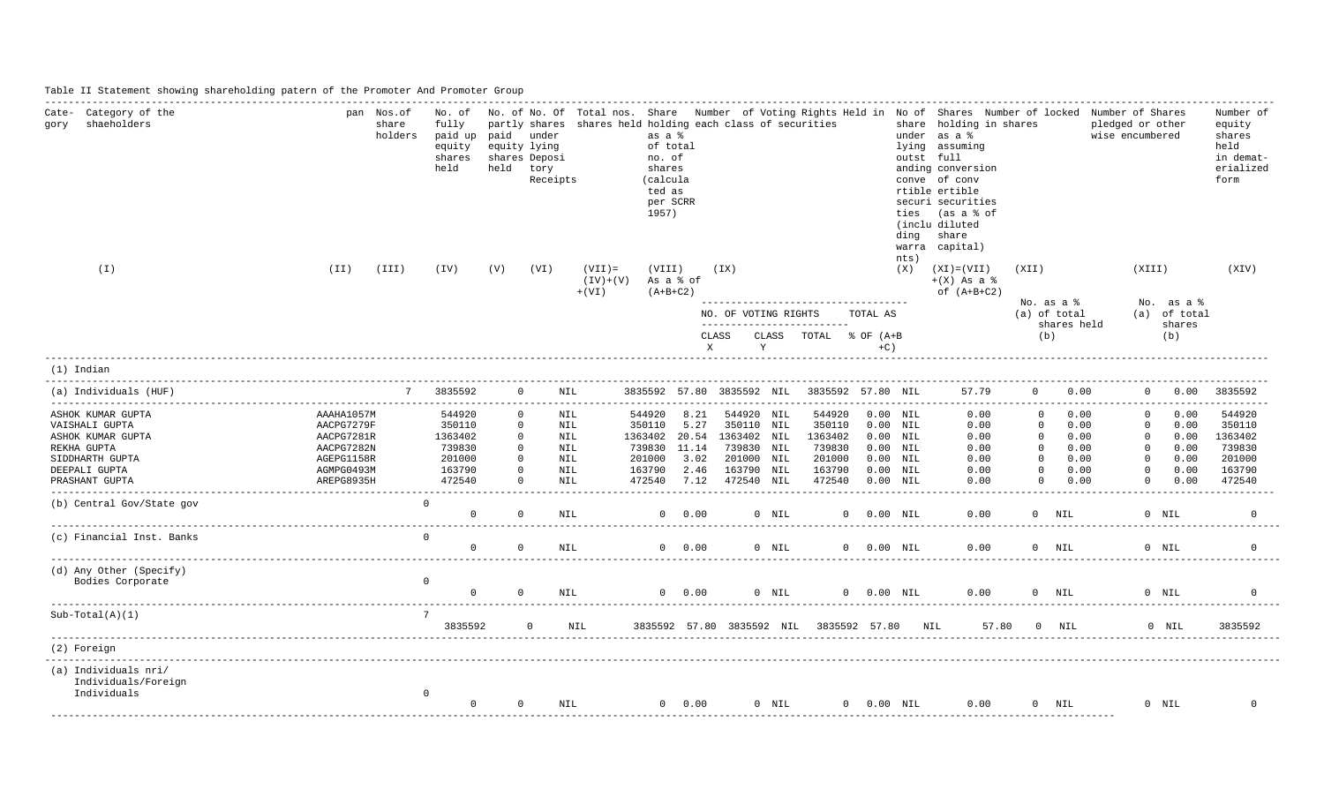Table II Statement showing shareholding patern of the Promoter And Promoter Group

| Category of the<br>Cate-<br>shaeholders<br>gory<br>$(\bot)$                                                                   | $(\I{II})$                                                                                     | pan Nos.of<br>share<br>holders<br>(III) | No. of<br>fully<br>paid up<br>equity<br>shares<br>held<br>(TV)      | paid<br>held<br>(V)                                              | partly shares<br>under<br>equity lying<br>shares Deposi<br>tory<br>Receipts<br>(VI) | shares held holding each class of securities<br>$(VII) =$<br>$(IV)+(V)$<br>$+ (VI)$ | as a %<br>of total<br>no. of<br>shares<br>(calcula<br>ted as<br>per SCRR<br>1957)<br>(VIII)<br>As a % of<br>$(A+B+C2)$ |                                      | (TX)                                                                                            |            |                                                                     |                                                                                                | outst full<br>ties<br>ding<br>warra<br>nts)<br>(X) | No. of No. Of Total nos. Share Number of Voting Rights Held in No of Shares Number of locked Number of Shares<br>share holding in shares<br>under as a %<br>lying assuming<br>anding conversion<br>conve of conv<br>rtible ertible<br>securi securities<br>(as a % of<br>(inclu diluted<br>share<br>capital)<br>$(XI) = (VII)$<br>$+(X)$ As a $\frac{1}{6}$<br>of $(A+B+C2)$ | (XII)                                                                               |                                                      | pledged or other<br>wise encumbered<br>(XIII)                                               |                                                      | Number of<br>equity<br>shares<br>held<br>in demat-<br>erialized<br>form<br>(XIV) |
|-------------------------------------------------------------------------------------------------------------------------------|------------------------------------------------------------------------------------------------|-----------------------------------------|---------------------------------------------------------------------|------------------------------------------------------------------|-------------------------------------------------------------------------------------|-------------------------------------------------------------------------------------|------------------------------------------------------------------------------------------------------------------------|--------------------------------------|-------------------------------------------------------------------------------------------------|------------|---------------------------------------------------------------------|------------------------------------------------------------------------------------------------|----------------------------------------------------|------------------------------------------------------------------------------------------------------------------------------------------------------------------------------------------------------------------------------------------------------------------------------------------------------------------------------------------------------------------------------|-------------------------------------------------------------------------------------|------------------------------------------------------|---------------------------------------------------------------------------------------------|------------------------------------------------------|----------------------------------------------------------------------------------|
|                                                                                                                               |                                                                                                |                                         |                                                                     |                                                                  |                                                                                     |                                                                                     |                                                                                                                        |                                      | NO. OF VOTING RIGHTS                                                                            |            | ____________________________________                                | TOTAL AS                                                                                       |                                                    |                                                                                                                                                                                                                                                                                                                                                                              |                                                                                     | No. as a %<br>(a) of total                           |                                                                                             | No. $as a 8$<br>(a) of total                         |                                                                                  |
|                                                                                                                               |                                                                                                |                                         |                                                                     |                                                                  |                                                                                     |                                                                                     |                                                                                                                        |                                      | CLASS<br>$\mathbf{X}$                                                                           | CLASS<br>Y | --------------------------<br>TOTAL                                 | % OF (A+B)<br>$+C$ )                                                                           |                                                    |                                                                                                                                                                                                                                                                                                                                                                              |                                                                                     | shares held<br>(b)                                   |                                                                                             | shares<br>(b)                                        |                                                                                  |
| $(1)$ Indian                                                                                                                  |                                                                                                |                                         |                                                                     |                                                                  |                                                                                     |                                                                                     |                                                                                                                        |                                      |                                                                                                 |            |                                                                     |                                                                                                |                                                    |                                                                                                                                                                                                                                                                                                                                                                              |                                                                                     |                                                      |                                                                                             |                                                      |                                                                                  |
| (a) Individuals (HUF)                                                                                                         |                                                                                                | 7                                       | 3835592                                                             |                                                                  | $\Omega$                                                                            | NIL.                                                                                |                                                                                                                        |                                      |                                                                                                 |            | 3835592 57.80 3835592 NIL 3835592 57.80 NIL                         |                                                                                                |                                                    | 57.79                                                                                                                                                                                                                                                                                                                                                                        | $\Omega$                                                                            | 0.00                                                 |                                                                                             | $0 \t 0.00 \t 3835592$                               |                                                                                  |
| ASHOK KUMAR GUPTA<br>VAISHALI GUPTA<br>ASHOK KUMAR GUPTA<br>REKHA GUPTA<br>SIDDHARTH GUPTA<br>DEEPALI GUPTA<br>PRASHANT GUPTA | AAAHA1057M<br>AACPG7279F<br>AACPG7281R<br>AACPG7282N<br>AGEPG1158R<br>AGMPG0493M<br>AREPG8935H |                                         | 544920<br>350110<br>1363402<br>739830<br>201000<br>163790<br>472540 | $\mathbf{0}$<br>$\Omega$<br>$\Omega$<br>$\mathbf{0}$<br>$\Omega$ | $\Omega$<br>$\circ$                                                                 | NIL<br>NIL<br><b>NIL</b><br><b>NIL</b><br><b>NIL</b><br>NIL<br><b>NIL</b>           | 544920<br>350110<br>1363402 20.54<br>739830 11.14<br>201000<br>163790<br>472540                                        | 8.21<br>5.27<br>3.02<br>2.46<br>7.12 | 544920 NIL<br>350110 NIL<br>1363402 NIL<br>739830 NIL<br>201000 NIL<br>163790 NIL<br>472540 NIL |            | 544920<br>350110<br>1363402<br>739830<br>201000<br>163790<br>472540 | $0.00$ NIL<br>$0.00$ NIL<br>$0.00$ NIL<br>$0.00$ NIL<br>$0.00$ NIL<br>$0.00$ NIL<br>$0.00$ NIL |                                                    | 0.00<br>0.00<br>0.00<br>0.00<br>0.00<br>0.00<br>0.00                                                                                                                                                                                                                                                                                                                         | $\Omega$<br>$\Omega$<br>$\Omega$<br>$\Omega$<br>$\Omega$<br>$\mathbf{0}$<br>$\circ$ | 0.00<br>0.00<br>0.00<br>0.00<br>0.00<br>0.00<br>0.00 | $\Omega$<br>$\mathbf{0}$<br>$^{\circ}$<br>$^{\circ}$<br>$\Omega$<br>$\mathbf{0}$<br>$\circ$ | 0.00<br>0.00<br>0.00<br>0.00<br>0.00<br>0.00<br>0.00 | 544920<br>350110<br>1363402<br>739830<br>201000<br>163790<br>472540<br>--------- |
| (b) Central Gov/State gov                                                                                                     |                                                                                                |                                         | $\Omega$<br>$\Omega$                                                | $\Omega$                                                         |                                                                                     | <b>NIL</b>                                                                          |                                                                                                                        | $0 \t 0.00$                          |                                                                                                 | $0$ NIL    |                                                                     | $0$ $0.00$ $\text{NIL}$                                                                        |                                                    | 0.00                                                                                                                                                                                                                                                                                                                                                                         |                                                                                     | $0$ NIL                                              |                                                                                             | $0$ NIL                                              |                                                                                  |
| (c) Financial Inst. Banks                                                                                                     |                                                                                                |                                         | $\Omega$<br>$\Omega$                                                | $\Omega$                                                         |                                                                                     | <b>NIL</b>                                                                          |                                                                                                                        | $0 \t 0.00$                          |                                                                                                 | $0$ NIL    |                                                                     | $0 0.00$ NIL                                                                                   |                                                    | 0.00                                                                                                                                                                                                                                                                                                                                                                         |                                                                                     | $0$ NIL                                              |                                                                                             | $0$ NTL                                              | $\Omega$                                                                         |
| (d) Any Other (Specify)<br>Bodies Corporate                                                                                   |                                                                                                |                                         | $\circ$<br>$\Omega$                                                 | $\cap$                                                           |                                                                                     | NTL.                                                                                | $\Omega$                                                                                                               | 0.00                                 |                                                                                                 | $0$ NIL    |                                                                     | 0 0.00 NIL                                                                                     |                                                    | 0.00                                                                                                                                                                                                                                                                                                                                                                         |                                                                                     | $0$ NIL                                              |                                                                                             | $0$ NIL                                              |                                                                                  |
| $Sub-Total(A)(1)$                                                                                                             |                                                                                                |                                         | $7\overline{ }$<br>3835592                                          |                                                                  | $\circ$                                                                             | NIL                                                                                 |                                                                                                                        |                                      |                                                                                                 |            | 3835592 57.80 3835592 NIL 3835592 57.80 NIL                         |                                                                                                |                                                    | 57.80                                                                                                                                                                                                                                                                                                                                                                        |                                                                                     | $0$ NIL                                              |                                                                                             | $0$ NIL                                              | 3835592                                                                          |
| (2) Foreign                                                                                                                   |                                                                                                |                                         |                                                                     |                                                                  |                                                                                     |                                                                                     |                                                                                                                        |                                      |                                                                                                 |            |                                                                     |                                                                                                |                                                    |                                                                                                                                                                                                                                                                                                                                                                              |                                                                                     |                                                      |                                                                                             |                                                      |                                                                                  |
| (a) Individuals nri/<br>Individuals/Foreign<br>Individuals                                                                    |                                                                                                |                                         | $\mathbf 0$<br>$\Omega$                                             | $\Omega$                                                         |                                                                                     | NIL                                                                                 |                                                                                                                        | $0 \t 0.00$                          |                                                                                                 | $0$ NIL    |                                                                     | $0 0.00$ NIL                                                                                   |                                                    | 0.00                                                                                                                                                                                                                                                                                                                                                                         |                                                                                     | $0$ NIL                                              |                                                                                             | $0$ NIL                                              | $\Omega$                                                                         |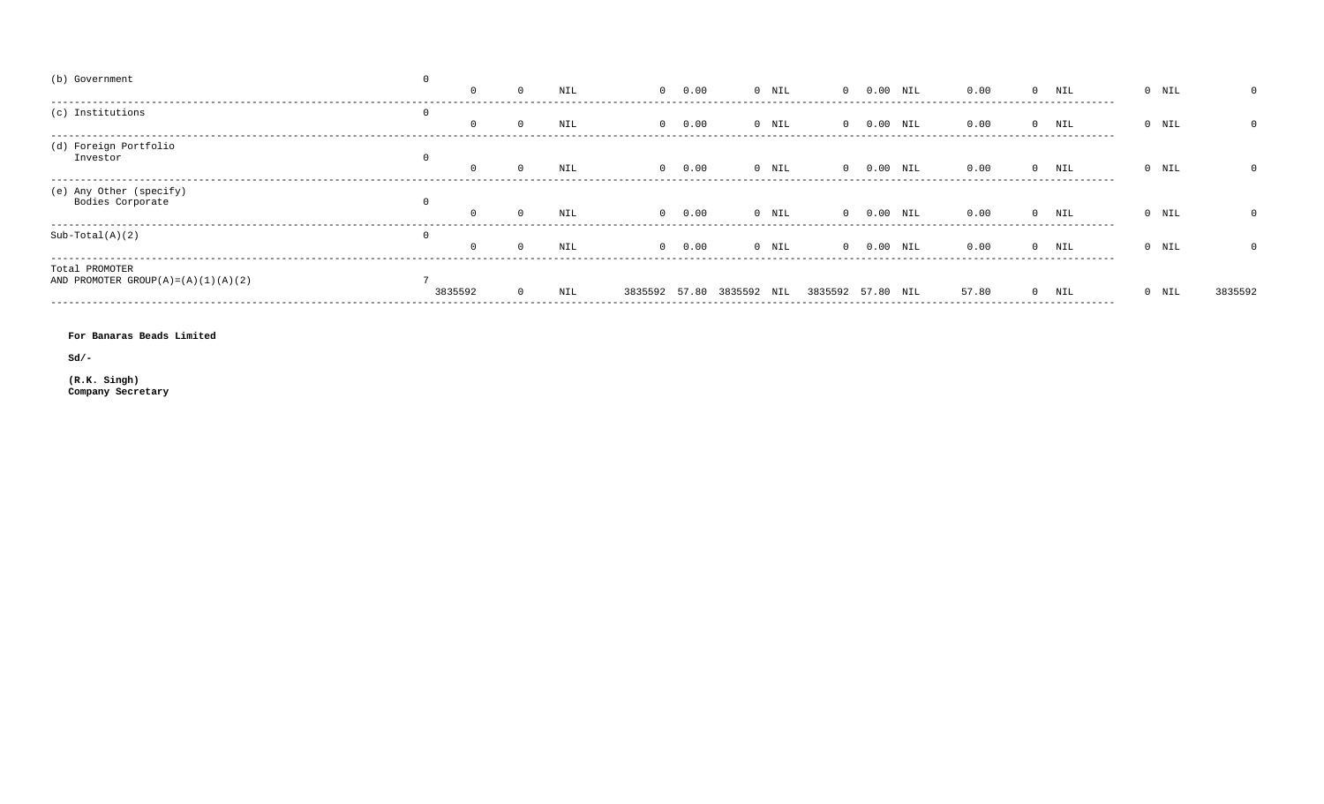| (b) Government                              |   |         |     |      |                           |         |                   |      |            |       |                   |         |         |
|---------------------------------------------|---|---------|-----|------|---------------------------|---------|-------------------|------|------------|-------|-------------------|---------|---------|
|                                             |   |         | NIL | 0.00 |                           | 0 NIL   |                   | 0.00 | NIL        | 0.00  | $0$ NIL           | $0$ NIL |         |
| (c) Institutions                            | 0 |         |     |      |                           |         |                   |      |            |       |                   |         |         |
|                                             |   |         | NIL | 0.00 |                           | $0$ NIL |                   |      | $0.00$ NIL | 0.00  | $0$ NIL           | $0$ NIL |         |
| (d) Foreign Portfolio                       |   |         |     |      |                           |         |                   |      |            |       |                   |         |         |
| Investor                                    |   |         | NIL | 0.00 |                           | $0$ NIL | $\cap$            |      | $0.00$ NIL | 0.00  | $0$ NIL           | $0$ NIL |         |
| (e) Any Other (specify)<br>Bodies Corporate |   |         |     |      |                           |         |                   |      |            |       | ----------------- |         |         |
|                                             |   |         | NIL | 0.00 |                           | $0$ NIL |                   |      | NIL        | 0.00  | NIL               | $0$ NIL |         |
| $Sub-Total(A)(2)$                           | 0 |         |     |      |                           |         |                   |      |            |       |                   |         |         |
|                                             |   |         | NIL | 0.00 |                           | $0$ NIL | $\cap$            |      | $0.00$ NIL | 0.00  | $0$ NIL           | $0$ NIL |         |
| Total PROMOTER                              |   |         |     |      |                           |         |                   |      |            |       |                   |         |         |
| AND PROMOTER GROUP(A) = $(A)(1)(A)(2)$      |   | 3835592 | NIL |      | 3835592 57.80 3835592 NIL |         | 3835592 57.80 NIL |      |            | 57.80 | $0$ NIL           | 0 NIL   | 3835592 |
|                                             |   |         |     |      |                           |         |                   |      |            |       | ----------------  |         |         |

For Banaras Beads Limited

 $sd/-$ 

(R.K. Singh)<br>Company Secretary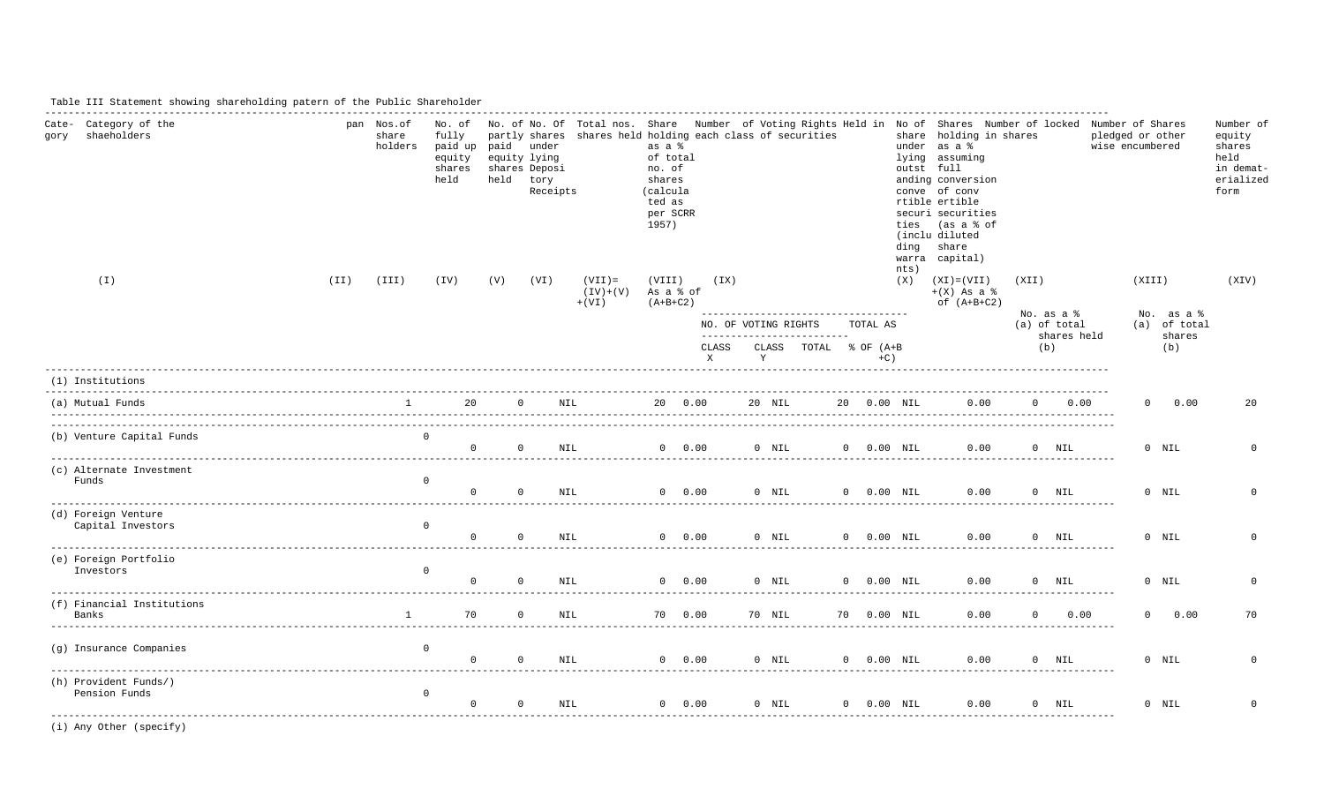### Table III Statement showing shareholding patern of the Public Shareholder

| Cate- Category of the<br>shaeholders<br>qory | pan Nos.of<br>share<br>holders | No. of<br>fully<br>paid up paid under<br>equity<br>shares<br>held | equity lying<br>held tory | shares Deposi<br>Receipts |                                     | as a %<br>of total<br>no. of<br>shares<br>(calcula<br>ted as<br>per SCRR<br>1957) |                       | partly shares shares held holding each class of securities |                         | ding | share holding in shares<br>under as a %<br>lying assuming<br>outst full<br>anding conversion<br>conve of conv<br>rtible ertible<br>securi securities<br>ties (as a % of<br>(inclu diluted<br>share<br>warra capital) |                     |                 | No. of No. Of Total nos. Share Number of Voting Rights Held in No of Shares Number of locked Number of Shares<br>pledged or other<br>wise encumbered | Number of<br>equity<br>shares<br>held<br>in demat-<br>erialized<br>form |
|----------------------------------------------|--------------------------------|-------------------------------------------------------------------|---------------------------|---------------------------|-------------------------------------|-----------------------------------------------------------------------------------|-----------------------|------------------------------------------------------------|-------------------------|------|----------------------------------------------------------------------------------------------------------------------------------------------------------------------------------------------------------------------|---------------------|-----------------|------------------------------------------------------------------------------------------------------------------------------------------------------|-------------------------------------------------------------------------|
| (I)<br>(II)                                  | (III)                          | (TV)                                                              | (V)                       | (VI)                      | $(VII)$ =<br>$(IV)+(V)$<br>$+ (VI)$ | (VIII)<br>As a % of<br>$(A+B+C2)$                                                 | (TX)                  | ------------------------------------                       |                         | nts) | $(X)$ $(XI) = (VII)$<br>$+(X)$ As a $\frac{1}{6}$<br>of $(A+B+C2)$                                                                                                                                                   | (XII)<br>No. as a % |                 | (XIII)<br>No. as a %                                                                                                                                 | (XIV)                                                                   |
|                                              |                                |                                                                   |                           |                           |                                     |                                                                                   |                       | NO. OF VOTING RIGHTS<br>--------------------------         | TOTAL AS                |      |                                                                                                                                                                                                                      | (a) of total        | shares held     | (a) of total<br>shares                                                                                                                               |                                                                         |
|                                              |                                |                                                                   |                           |                           |                                     |                                                                                   | CLASS<br>$\mathbf{X}$ | CLASS TOTAL % OF (A+B<br>Y                                 | $+C$ )                  |      |                                                                                                                                                                                                                      | (b)                 |                 | (b)                                                                                                                                                  |                                                                         |
| (1) Institutions                             |                                |                                                                   |                           |                           |                                     |                                                                                   |                       |                                                            |                         |      |                                                                                                                                                                                                                      |                     |                 |                                                                                                                                                      |                                                                         |
| (a) Mutual Funds                             | $1$ and $1$                    |                                                                   | $20 \qquad 0$             |                           | <b>NIL</b>                          | 20 0.00                                                                           |                       | 20 NIL                                                     | 20  0.00  NIL           |      | 0.00                                                                                                                                                                                                                 |                     | $0 \qquad 0.00$ | $\Omega$<br>0.00                                                                                                                                     | 20                                                                      |
| (b) Venture Capital Funds                    | $\overline{0}$                 |                                                                   | $\Omega$                  | $\Omega$<br>NTL.          |                                     | $0 \t 0.00$                                                                       |                       | $0$ NIL                                                    | $0$ $0.00$ $\text{NIL}$ |      | 0.00                                                                                                                                                                                                                 |                     | $0$ NIL         | $0$ NIL                                                                                                                                              | $\Omega$                                                                |
| (c) Alternate Investment<br>Funds            | $\circ$                        | $\Omega$                                                          | $\Omega$                  | NIL                       |                                     |                                                                                   |                       | $0$ 0.00 0 NIL 0 0.00 NIL                                  |                         |      | 0.00                                                                                                                                                                                                                 |                     | $0$ NIL         | $0$ NIL                                                                                                                                              | $\Omega$                                                                |
| (d) Foreign Venture<br>Capital Investors     | $\overline{0}$                 | $\Omega$                                                          | $\overline{0}$            | NIL                       |                                     | $0 \t 0.00$                                                                       |                       | 0 NIL                                                      | $0$ $0.00$ $\text{NIL}$ |      | 0.00                                                                                                                                                                                                                 |                     | $0$ NIL         | $0$ NIL                                                                                                                                              | $\Omega$                                                                |
| (e) Foreign Portfolio<br>Investors           | $\overline{0}$                 | $\Omega$                                                          | $\Omega$                  | NIL                       |                                     |                                                                                   | $0 \t 0.00$           | $0$ NIL                                                    | $0$ $0.00$ $\text{NIL}$ |      | 0.00                                                                                                                                                                                                                 |                     | $0$ NIL         | $0$ NIL                                                                                                                                              | $\Omega$                                                                |
| (f) Financial Institutions<br>Banks          | $1 \qquad \qquad$              | 70                                                                | $\overline{0}$            | NIL                       |                                     | 70  0.00                                                                          |                       | 70 NIL                                                     | 70   0.00   NIL         |      | 0.00                                                                                                                                                                                                                 | $\overline{0}$      | 0.00            | 0 0.00                                                                                                                                               | 70                                                                      |
| (g) Insurance Companies                      | $\overline{0}$                 | $\overline{0}$                                                    | $\overline{0}$            | NIL                       |                                     | $0 \t 0.00$                                                                       |                       | $0$ NIL                                                    | $0$ $0.00$ $\text{NIL}$ |      | 0.00                                                                                                                                                                                                                 |                     | $0$ NIL         | $0$ NIL                                                                                                                                              | $\Omega$                                                                |
| (h) Provident Funds/)<br>Pension Funds       | $\circ$                        | $\circ$                                                           | $\overline{0}$            | NIL                       |                                     | 0 0.00                                                                            |                       | $0$ NIL                                                    | $0$ $0.00$ $\text{NIL}$ |      | 0.00                                                                                                                                                                                                                 |                     | $0$ NIL         | $0$ NIL                                                                                                                                              | $\circ$                                                                 |

(i) Any Other (specify)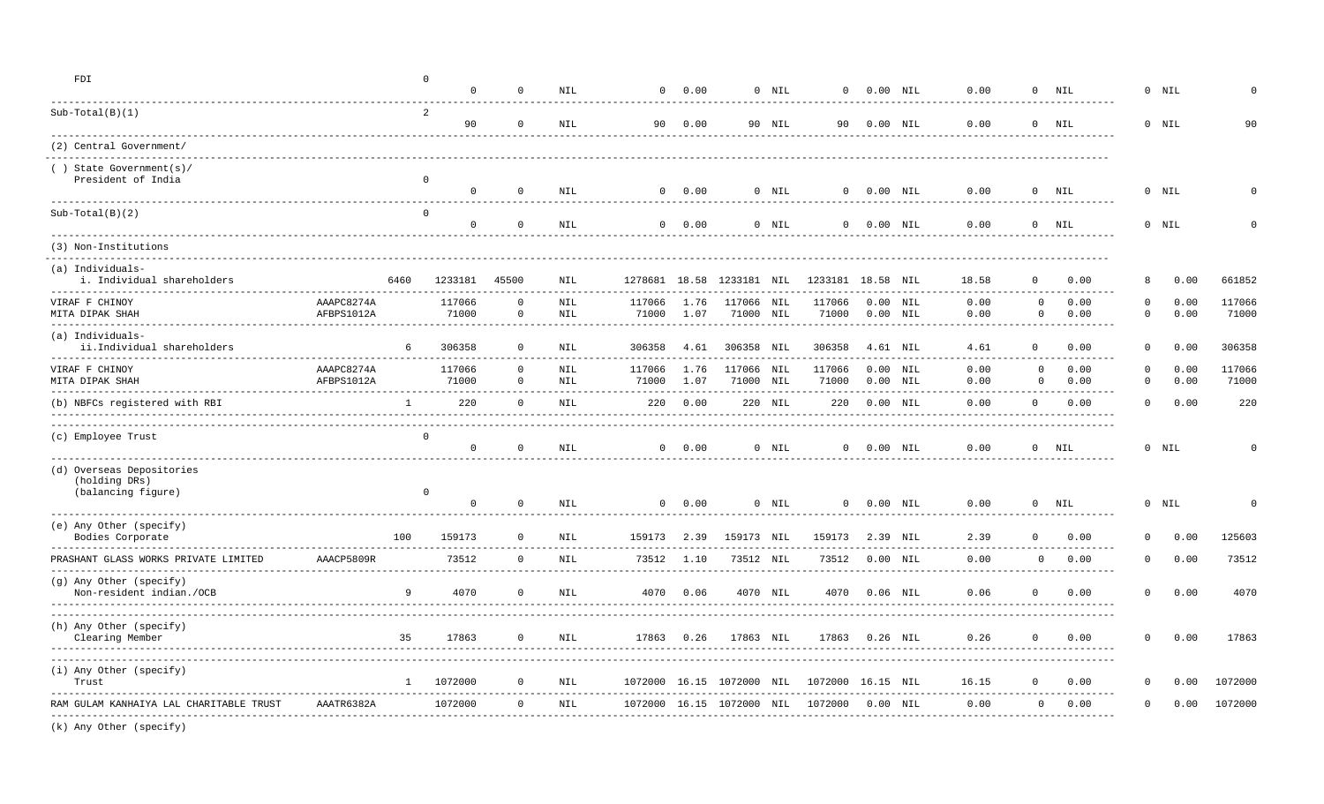| FDI                                                                  |                          |              | $\Omega$<br>$\Omega$                                     | $\Omega$                     | <b>NIL</b>       |                                        | $0 \t 0.00$  |                           | $0$ NIL  | $^{\circ}$        |                | $0.00$ NIL               | 0.00                            | $\mathbf{0}$                   | NIL                          |                        | $0$ NIL      |                 |
|----------------------------------------------------------------------|--------------------------|--------------|----------------------------------------------------------|------------------------------|------------------|----------------------------------------|--------------|---------------------------|----------|-------------------|----------------|--------------------------|---------------------------------|--------------------------------|------------------------------|------------------------|--------------|-----------------|
| $Sub-Total(B)(1)$                                                    |                          |              | 2<br>90                                                  | $\mathbf 0$                  | <b>NIL</b>       |                                        | 90 0.00      |                           | 90 NIL   |                   | 90  0.00  NIL  |                          | 0.00                            |                                | $0$ NIL                      |                        | $0$ NIL      | 90              |
| (2) Central Government/                                              |                          |              |                                                          |                              |                  |                                        |              |                           |          |                   |                |                          |                                 |                                |                              |                        |              |                 |
| () State Government(s)/<br>President of India                        |                          |              | $\mathbf 0$<br>$\mathbf{0}$                              | $\circ$                      | NIL              |                                        | $0 \t 0.00$  |                           | $0$ NIL  |                   | $0 0.00$ NIL   |                          | 0.00                            |                                | $0$ NIL                      |                        | $0$ NIL      |                 |
| $Sub-Total(B)(2)$                                                    |                          |              | $\mathbf{0}$<br>$\Omega$                                 | $\mathbf 0$                  | NIL              |                                        | $0 \t 0.00$  |                           | $0$ NIL  |                   | 0 0.00 NIL     |                          | 0.00                            |                                | ------<br>$0$ NIL            |                        | $0$ NIL      |                 |
| (3) Non-Institutions                                                 |                          |              |                                                          |                              |                  |                                        |              |                           |          |                   |                |                          |                                 |                                |                              |                        |              |                 |
| ------------------<br>(a) Individuals-<br>i. Individual shareholders |                          | 6460         | 1233181                                                  | 45500                        | NIL              |                                        |              | 1278681 18.58 1233181 NIL |          | 1233181 18.58 NIL |                |                          | 18.58                           |                                | 0.00                         | 8                      | 0.00         | 661852          |
| VIRAF F CHINOY<br>MITA DIPAK SHAH                                    | AAAPC8274A<br>AFBPS1012A |              | 117066<br>71000<br>---------------------------------     | $\mathbf{0}$<br>$\mathbf 0$  | NIL<br>NIL       | 117066<br>71000<br>------------------- | 1.76<br>1.07 | 117066 NIL<br>71000 NIL   |          | 117066<br>71000   |                | $0.00$ NIL<br>$0.00$ NIL | 0.00<br>0.00                    | $\circ$<br>$\circ$             | 0.00<br>0.00                 | $\Omega$<br>$\circ$    | 0.00<br>0.00 | 117066<br>71000 |
| (a) Individuals-<br>ii.Individual shareholders                       |                          | 6            | 306358                                                   | $\Omega$                     | <b>NIL</b>       | 306358                                 | 4.61         | 306358 NIL                |          | 306358            |                | 4.61 NIL                 | 4.61                            | $\Omega$                       | 0.00                         | $\Omega$               | 0.00         | 306358          |
| VIRAF F CHINOY<br>MITA DIPAK SHAH                                    | AAAPC8274A<br>AFBPS1012A |              | 117066<br>71000                                          | $\mathbf{0}$<br>$\mathbf{0}$ | $\rm NIL$<br>NIL | 117066<br>71000                        | 1.76<br>1.07 | 117066 NIL<br>71000       | NIL      | 117066<br>71000   |                | $0.00$ NIL<br>$0.00$ NIL | 0.00<br>0.00                    | $\mathbf{0}$<br>$\overline{0}$ | 0.00<br>0.00<br>---------    | $\mathbf 0$<br>$\circ$ | 0.00<br>0.00 | 117066<br>71000 |
| (b) NBFCs registered with RBI                                        |                          | $\mathbf{1}$ | 220                                                      | $\mathbf{0}$                 | NIL              |                                        | 220 0.00     |                           | 220 NIL  | 220               |                | $0.00$ NIL               | 0.00                            | $\mathbf{0}$                   | 0.00                         | $\circ$                | 0.00         | 220             |
| (c) Employee Trust                                                   |                          |              | $\Omega$<br>$\overline{0}$                               | $\mathbf 0$                  | NIL              |                                        | $0 \t 0.00$  |                           | $0$ NIL  |                   | 0 0.00 NIL     |                          | 0.00                            |                                | $0$ NIL                      |                        | $0$ NIL      |                 |
| (d) Overseas Depositories<br>(holding DRs)<br>(balancing figure)     |                          |              | $\Omega$<br>$\mathbf{0}$<br>____________________________ | $\circ$                      | NIL              |                                        | $0 \t 0.00$  |                           | $0$ NIL  |                   | $0 0.00$ NIL   |                          | 0.00<br>_______________________ |                                | $0$ NIL                      |                        | $0$ NIL      | $\Omega$        |
| (e) Any Other (specify)<br>Bodies Corporate                          |                          | 100          | 159173                                                   | $\overline{0}$               | NIL              | 159173 2.39                            |              | 159173 NIL                |          | 159173            |                | 2.39 NIL                 | 2.39                            | $\Omega$                       | 0.00<br>-------------------- | $\Omega$               | 0.00         | 125603          |
| PRASHANT GLASS WORKS PRIVATE LIMITED                                 | AAACP5809R               |              | 73512                                                    | $\circ$                      | <b>NIL</b>       | 73512                                  | 1.10         | 73512 NIL                 |          | 73512             |                | $0.00$ NIL               | 0.00                            | $\mathbf{0}$                   | 0.00                         | $\mathbf 0$            | 0.00         | 73512           |
| (g) Any Other (specify)<br>Non-resident indian./OCB                  |                          | 9            | 4070                                                     | $\Omega$                     | NIL              | 4070                                   | 0.06         |                           | 4070 NIL | 4070              |                | $0.06$ NIL               | 0.06                            | $\Omega$                       | 0.00                         | $\mathbf 0$            | 0.00         | 4070            |
| (h) Any Other (specify)<br>Clearing Member                           |                          | 35           | 17863                                                    | $\circ$                      | NIL              |                                        | 17863 0.26   | 17863 NIL                 |          |                   | 17863 0.26 NIL |                          | 0.26                            | $^{\circ}$                     | 0.00                         | $\overline{0}$         | 0.00         | 17863           |
| (i) Any Other (specify)<br>Trust                                     |                          | 1            | 1072000                                                  | $\mathbf{0}$                 | NIL              |                                        |              | 1072000 16.15 1072000 NIL |          | 1072000 16.15 NIL |                |                          | 16.15                           | $\Omega$                       | 0.00                         | $\Omega$               | 0.00         | 1072000         |
| RAM GULAM KANHAIYA LAL CHARITABLE TRUST                              | AAATR6382A               |              | 1072000                                                  | $\mathbf{0}$                 | NIL              |                                        |              | 1072000 16.15 1072000 NIL |          | 1072000           |                | $0.00$ NIL               | 0.00                            | $\mathbf{0}$                   | 0.00                         | $^{\circ}$             | 0.00         | 1072000         |
| (k) Any Other (specify)                                              |                          |              |                                                          |                              |                  |                                        |              |                           |          |                   |                |                          |                                 |                                |                              |                        |              |                 |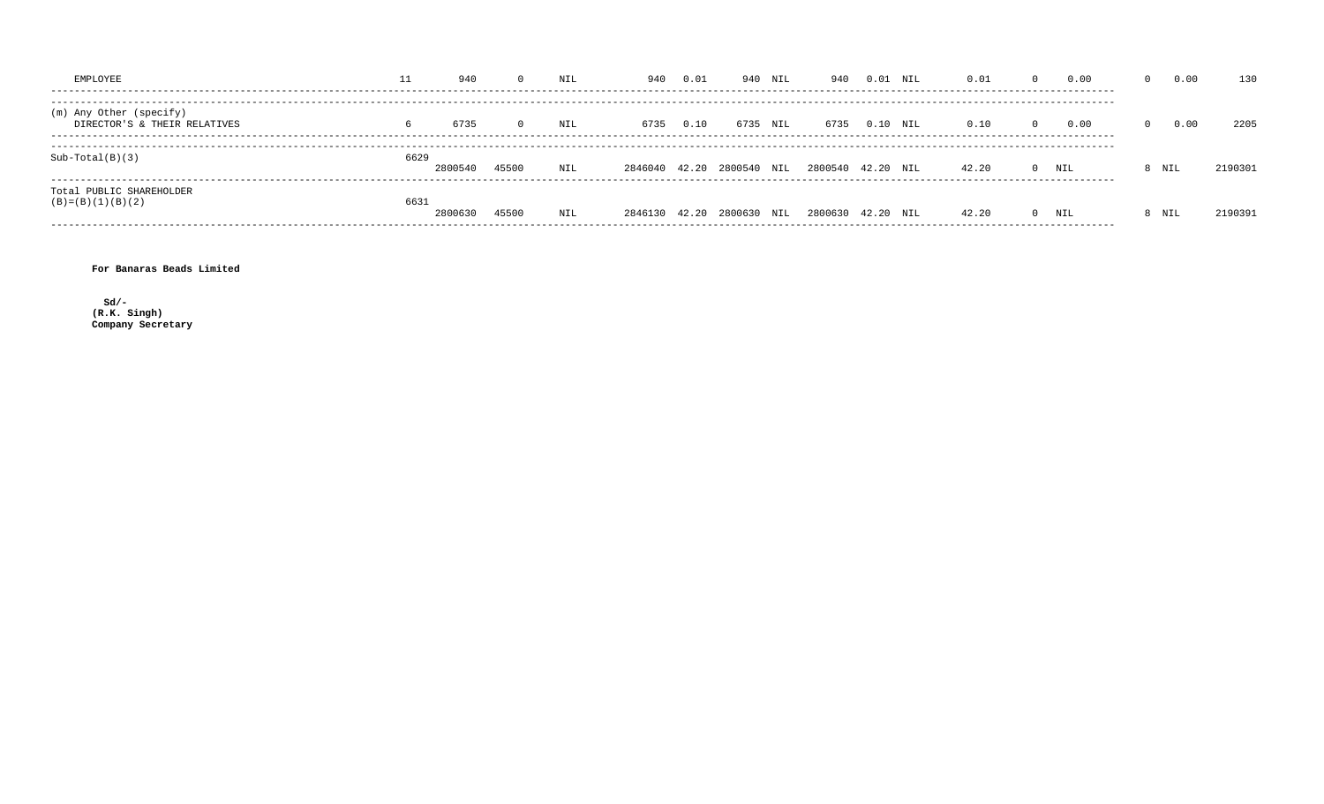| EMPLOYEE                                                | ⊥⊥   | 940     |       | NIL | 940                       | 0.01 | 940  | NIL | 940               | 0.01 | NIL | 0.01  | $\Omega$ | 0.00                   | 0.00  | 130     |
|---------------------------------------------------------|------|---------|-------|-----|---------------------------|------|------|-----|-------------------|------|-----|-------|----------|------------------------|-------|---------|
| (m) Any Other (specify)<br>DIRECTOR'S & THEIR RELATIVES | 6    | 6735    |       | NIL | 6735                      | 0.10 | 6735 | NIL | 6735              | 0.10 | NIL | 0.10  | $\Omega$ | 0.00<br>-------------- | 0.00  | 2205    |
| $Sub-Total(B)(3)$                                       | 6629 | 2800540 | 45500 | NIL | 2846040 42.20 2800540     |      |      | NIL | 2800540 42.20     |      | NTL | 42.20 |          | $0$ NIL                | 8 NIL | 2190301 |
| Total PUBLIC SHAREHOLDER<br>$(B) = (B) (1) (B) (2)$     | 6631 | 2800630 | 45500 | NIL | 2846130 42.20 2800630 NIL |      |      |     | 2800630 42.20 NIL |      |     | 42.20 |          | $0$ NIL                | 8 NIL | 2190391 |

For Banaras Beads Limited

 $sd/-$ (R.K. Singh)<br>Company Secretary